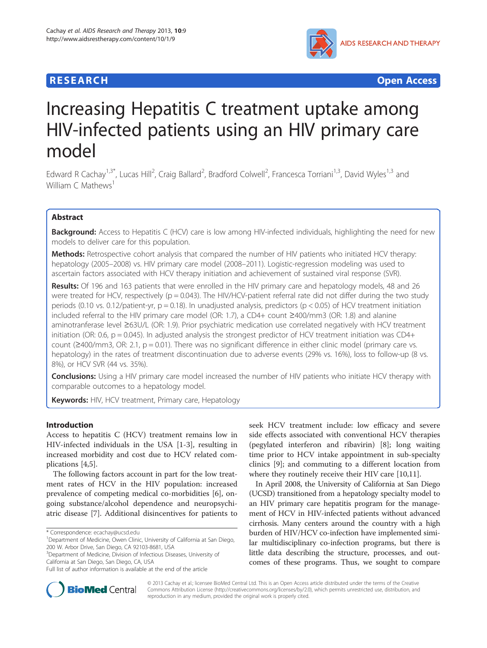# **RESEARCH CHEAR CHEAR CHEAR CHEAR CHEAR CHEAR CHEAR CHEAR CHEAR CHEAR CHEAR CHEAR CHEAR CHEAR CHEAR CHEAR CHEAR**



# Increasing Hepatitis C treatment uptake among HIV-infected patients using an HIV primary care model

Edward R Cachay<sup>1,3\*</sup>, Lucas Hill<sup>2</sup>, Craig Ballard<sup>2</sup>, Bradford Colwell<sup>2</sup>, Francesca Torriani<sup>1,3</sup>, David Wyles<sup>1,3</sup> and William  $\subset$  Mathews<sup>1</sup>

# Abstract

Background: Access to Hepatitis C (HCV) care is low among HIV-infected individuals, highlighting the need for new models to deliver care for this population.

**Methods:** Retrospective cohort analysis that compared the number of HIV patients who initiated HCV therapy: hepatology (2005–2008) vs. HIV primary care model (2008–2011). Logistic-regression modeling was used to ascertain factors associated with HCV therapy initiation and achievement of sustained viral response (SVR).

Results: Of 196 and 163 patients that were enrolled in the HIV primary care and hepatology models, 48 and 26 were treated for HCV, respectively ( $p = 0.043$ ). The HIV/HCV-patient referral rate did not differ during the two study periods (0.10 vs. 0.12/patient-yr,  $p = 0.18$ ). In unadjusted analysis, predictors ( $p < 0.05$ ) of HCV treatment initiation included referral to the HIV primary care model (OR: 1.7), a CD4+ count ≥400/mm3 (OR: 1.8) and alanine aminotranferase level ≥63U/L (OR: 1.9). Prior psychiatric medication use correlated negatively with HCV treatment initiation (OR: 0.6,  $p = 0.045$ ). In adjusted analysis the strongest predictor of HCV treatment initiation was CD4+ count (≥400/mm3, OR: 2.1, p = 0.01). There was no significant difference in either clinic model (primary care vs. hepatology) in the rates of treatment discontinuation due to adverse events (29% vs. 16%), loss to follow-up (8 vs. 8%), or HCV SVR (44 vs. 35%).

Conclusions: Using a HIV primary care model increased the number of HIV patients who initiate HCV therapy with comparable outcomes to a hepatology model.

Keywords: HIV, HCV treatment, Primary care, Hepatology

## Introduction

Access to hepatitis C (HCV) treatment remains low in HIV-infected individuals in the USA [\[1](#page-10-0)-[3\]](#page-10-0), resulting in increased morbidity and cost due to HCV related complications [[4,5\]](#page-11-0).

The following factors account in part for the low treatment rates of HCV in the HIV population: increased prevalence of competing medical co-morbidities [[6\]](#page-11-0), ongoing substance/alcohol dependence and neuropsychiatric disease [\[7](#page-11-0)]. Additional disincentives for patients to

<sup>3</sup>Department of Medicine, Division of Infectious Diseases, University of California at San Diego, San Diego, CA, USA

seek HCV treatment include: low efficacy and severe side effects associated with conventional HCV therapies (pegylated interferon and ribavirin) [\[8](#page-11-0)]; long waiting time prior to HCV intake appointment in sub-specialty clinics [[9\]](#page-11-0); and commuting to a different location from where they routinely receive their HIV care [\[10,11](#page-11-0)].

In April 2008, the University of California at San Diego (UCSD) transitioned from a hepatology specialty model to an HIV primary care hepatitis program for the management of HCV in HIV-infected patients without advanced cirrhosis. Many centers around the country with a high burden of HIV/HCV co-infection have implemented similar multidisciplinary co-infection programs, but there is little data describing the structure, processes, and outcomes of these programs. Thus, we sought to compare



© 2013 Cachay et al.; licensee BioMed Central Ltd. This is an Open Access article distributed under the terms of the Creative Commons Attribution License [\(http://creativecommons.org/licenses/by/2.0\)](http://creativecommons.org/licenses/by/2.0), which permits unrestricted use, distribution, and reproduction in any medium, provided the original work is properly cited.

<sup>\*</sup> Correspondence: [ecachay@ucsd.edu](mailto:ecachay@ucsd.edu) <sup>1</sup>

<sup>&</sup>lt;sup>1</sup>Department of Medicine, Owen Clinic, University of California at San Diego, 200 W. Arbor Drive, San Diego, CA 92103-8681, USA

Full list of author information is available at the end of the article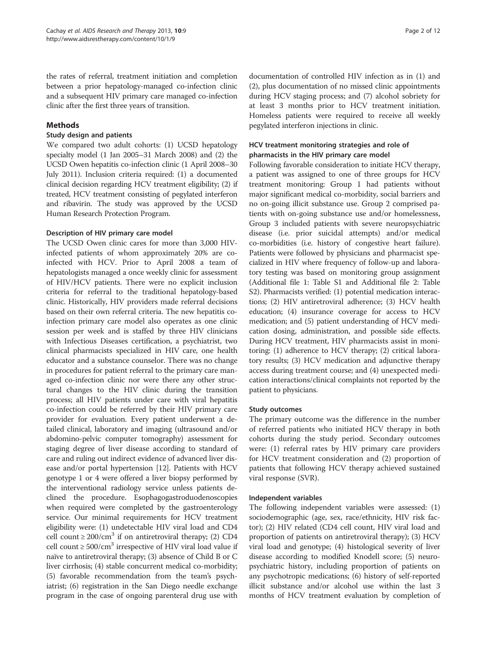the rates of referral, treatment initiation and completion between a prior hepatology-managed co-infection clinic and a subsequent HIV primary care managed co-infection clinic after the first three years of transition.

## Methods

## Study design and patients

We compared two adult cohorts: (1) UCSD hepatology specialty model (1 Jan 2005–31 March 2008) and (2) the UCSD Owen hepatitis co-infection clinic (1 April 2008–30 July 2011). Inclusion criteria required: (1) a documented clinical decision regarding HCV treatment eligibility; (2) if treated, HCV treatment consisting of pegylated interferon and ribavirin. The study was approved by the UCSD Human Research Protection Program.

## Description of HIV primary care model

The UCSD Owen clinic cares for more than 3,000 HIVinfected patients of whom approximately 20% are coinfected with HCV. Prior to April 2008 a team of hepatologists managed a once weekly clinic for assessment of HIV/HCV patients. There were no explicit inclusion criteria for referral to the traditional hepatology-based clinic. Historically, HIV providers made referral decisions based on their own referral criteria. The new hepatitis coinfection primary care model also operates as one clinic session per week and is staffed by three HIV clinicians with Infectious Diseases certification, a psychiatrist, two clinical pharmacists specialized in HIV care, one health educator and a substance counselor. There was no change in procedures for patient referral to the primary care managed co-infection clinic nor were there any other structural changes to the HIV clinic during the transition process; all HIV patients under care with viral hepatitis co-infection could be referred by their HIV primary care provider for evaluation. Every patient underwent a detailed clinical, laboratory and imaging (ultrasound and/or abdomino-pelvic computer tomography) assessment for staging degree of liver disease according to standard of care and ruling out indirect evidence of advanced liver disease and/or portal hypertension [\[12\]](#page-11-0). Patients with HCV genotype 1 or 4 were offered a liver biopsy performed by the interventional radiology service unless patients declined the procedure. Esophagogastroduodenoscopies when required were completed by the gastroenterology service. Our minimal requirements for HCV treatment eligibility were: (1) undetectable HIV viral load and CD4 cell count  $\geq 200/cm^3$  if on antiretroviral therapy; (2) CD4 cell count  $\geq 500/cm^3$  irrespective of HIV viral load value if naïve to antiretroviral therapy; (3) absence of Child B or C liver cirrhosis; (4) stable concurrent medical co-morbidity; (5) favorable recommendation from the team's psychiatrist; (6) registration in the San Diego needle exchange program in the case of ongoing parenteral drug use with

documentation of controlled HIV infection as in (1) and (2), plus documentation of no missed clinic appointments during HCV staging process; and (7) alcohol sobriety for at least 3 months prior to HCV treatment initiation. Homeless patients were required to receive all weekly pegylated interferon injections in clinic.

# HCV treatment monitoring strategies and role of pharmacists in the HIV primary care model

Following favorable consideration to initiate HCV therapy, a patient was assigned to one of three groups for HCV treatment monitoring: Group 1 had patients without major significant medical co-morbidity, social barriers and no on-going illicit substance use. Group 2 comprised patients with on-going substance use and/or homelessness, Group 3 included patients with severe neuropsychiatric disease (i.e. prior suicidal attempts) and/or medical co-morbidities (i.e. history of congestive heart failure). Patients were followed by physicians and pharmacist specialized in HIV where frequency of follow-up and laboratory testing was based on monitoring group assignment (Additional file [1](#page-10-0): Table S1 and Additional file [2](#page-10-0): Table S2). Pharmacists verified: (1) potential medication interactions; (2) HIV antiretroviral adherence; (3) HCV health education; (4) insurance coverage for access to HCV medication; and (5) patient understanding of HCV medication dosing, administration, and possible side effects. During HCV treatment, HIV pharmacists assist in monitoring: (1) adherence to HCV therapy; (2) critical laboratory results; (3) HCV medication and adjunctive therapy access during treatment course; and (4) unexpected medication interactions/clinical complaints not reported by the patient to physicians.

## Study outcomes

The primary outcome was the difference in the number of referred patients who initiated HCV therapy in both cohorts during the study period. Secondary outcomes were: (1) referral rates by HIV primary care providers for HCV treatment consideration and (2) proportion of patients that following HCV therapy achieved sustained viral response (SVR).

# Independent variables

The following independent variables were assessed: (1) sociodemographic (age, sex, race/ethnicity, HIV risk factor); (2) HIV related (CD4 cell count, HIV viral load and proportion of patients on antiretroviral therapy); (3) HCV viral load and genotype; (4) histological severity of liver disease according to modified Knodell score; (5) neuropsychiatric history, including proportion of patients on any psychotropic medications; (6) history of self-reported illicit substance and/or alcohol use within the last 3 months of HCV treatment evaluation by completion of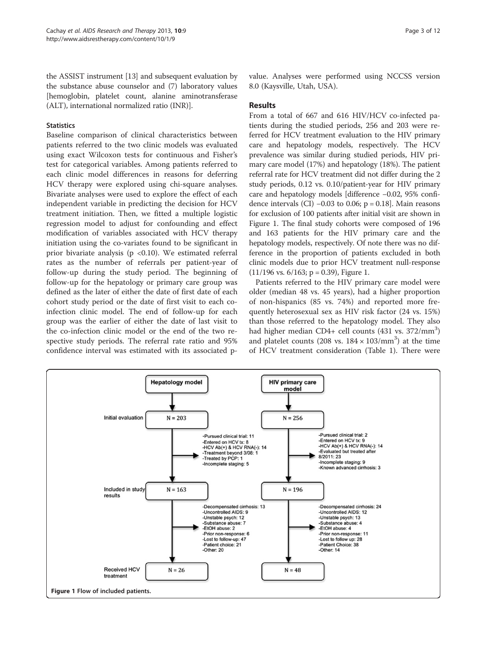<span id="page-2-0"></span>the ASSIST instrument [\[13\]](#page-11-0) and subsequent evaluation by the substance abuse counselor and (7) laboratory values [hemoglobin, platelet count, alanine aminotransferase (ALT), international normalized ratio (INR)].

#### **Statistics**

Baseline comparison of clinical characteristics between patients referred to the two clinic models was evaluated using exact Wilcoxon tests for continuous and Fisher's test for categorical variables. Among patients referred to each clinic model differences in reasons for deferring HCV therapy were explored using chi-square analyses. Bivariate analyses were used to explore the effect of each independent variable in predicting the decision for HCV treatment initiation. Then, we fitted a multiple logistic regression model to adjust for confounding and effect modification of variables associated with HCV therapy initiation using the co-variates found to be significant in prior bivariate analysis ( $p < 0.10$ ). We estimated referral rates as the number of referrals per patient-year of follow-up during the study period. The beginning of follow-up for the hepatology or primary care group was defined as the later of either the date of first date of each cohort study period or the date of first visit to each coinfection clinic model. The end of follow-up for each group was the earlier of either the date of last visit to the co-infection clinic model or the end of the two respective study periods. The referral rate ratio and 95% confidence interval was estimated with its associated pvalue. Analyses were performed using NCCSS version 8.0 (Kaysville, Utah, USA).

#### Results

From a total of 667 and 616 HIV/HCV co-infected patients during the studied periods, 256 and 203 were referred for HCV treatment evaluation to the HIV primary care and hepatology models, respectively. The HCV prevalence was similar during studied periods, HIV primary care model (17%) and hepatology (18%). The patient referral rate for HCV treatment did not differ during the 2 study periods, 0.12 vs. 0.10/patient-year for HIV primary care and hepatology models [difference −0.02, 95% confidence intervals (CI)  $-0.03$  to 0.06; p = 0.18]. Main reasons for exclusion of 100 patients after initial visit are shown in Figure 1. The final study cohorts were composed of 196 and 163 patients for the HIV primary care and the hepatology models, respectively. Of note there was no difference in the proportion of patients excluded in both clinic models due to prior HCV treatment null-response  $(11/196 \text{ vs. } 6/163; \text{ p} = 0.39)$ , Figure 1.

Patients referred to the HIV primary care model were older (median 48 vs. 45 years), had a higher proportion of non-hispanics (85 vs. 74%) and reported more frequently heterosexual sex as HIV risk factor (24 vs. 15%) than those referred to the hepatology model. They also had higher median CD4+ cell counts (431 vs. 372/mm<sup>3</sup>) and platelet counts (208 vs.  $184 \times 103/\text{mm}^3$ ) at the time of HCV treatment consideration (Table [1](#page-3-0)). There were

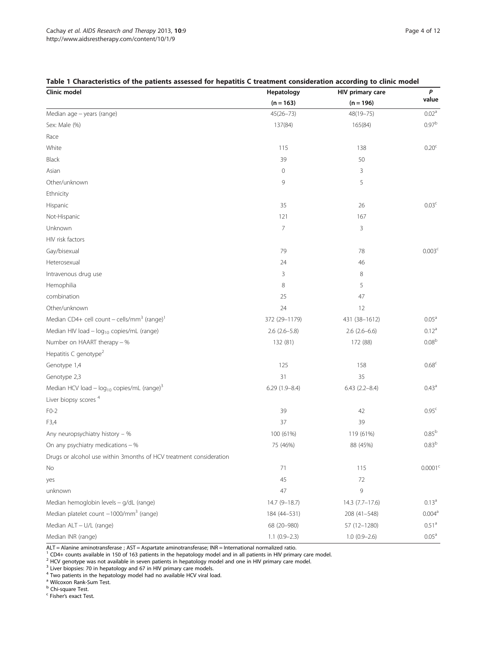| Clinic model                                                        | Hepatology        | HIV primary care  | $\pmb{P}$           |
|---------------------------------------------------------------------|-------------------|-------------------|---------------------|
|                                                                     | $(n = 163)$       | $(n = 196)$       | value               |
| Median age - years (range)                                          | $45(26 - 73)$     | 48(19-75)         | $0.02^{\rm a}$      |
| Sex: Male (%)                                                       | 137(84)           | 165(84)           | 0.97 <sup>b</sup>   |
| Race                                                                |                   |                   |                     |
| White                                                               | 115               | 138               | 0.20 <sup>c</sup>   |
| Black                                                               | 39                | 50                |                     |
| Asian                                                               | $\mathbf 0$       | 3                 |                     |
| Other/unknown                                                       | 9                 | 5                 |                     |
| Ethnicity                                                           |                   |                   |                     |
| Hispanic                                                            | 35                | 26                | 0.03 <sup>c</sup>   |
| Not-Hispanic                                                        | 121               | 167               |                     |
| Unknown                                                             | 7                 | 3                 |                     |
| HIV risk factors                                                    |                   |                   |                     |
| Gay/bisexual                                                        | 79                | 78                | 0.003 <sup>c</sup>  |
| Heterosexual                                                        | 24                | 46                |                     |
| Intravenous drug use                                                | 3                 | 8                 |                     |
| Hemophilia                                                          | 8                 | 5                 |                     |
| combination                                                         | 25                | 47                |                     |
| Other/unknown                                                       | 24                | 12                |                     |
| Median CD4+ cell count - cells/mm <sup>3</sup> (range) <sup>1</sup> | 372 (29-1179)     | 431 (38-1612)     | 0.05 <sup>a</sup>   |
| Median HIV load - log <sub>10</sub> copies/mL (range)               | $2.6$ (2.6-5.8)   | $2.6$ (2.6-6.6)   | 0.12 <sup>a</sup>   |
| Number on HAART therapy - %                                         | 132 (81)          | 172 (88)          | $0.08^{\rm b}$      |
| Hepatitis C genotype <sup>2</sup>                                   |                   |                   |                     |
| Genotype 1,4                                                        | 125               | 158               | 0.68 <sup>c</sup>   |
| Genotype 2,3                                                        | 31                | 35                |                     |
| Median HCV load - $log_{10}$ copies/mL (range) <sup>3</sup>         | $6.29(1.9 - 8.4)$ | $6.43(2.2 - 8.4)$ | $0.43^{\text{a}}$   |
| Liver biopsy scores <sup>4</sup>                                    |                   |                   |                     |
| $FO-2$                                                              | 39                | 42                | 0.95 <sup>c</sup>   |
| F3,4                                                                | 37                | 39                |                     |
| Any neuropsychiatry history - %                                     | 100 (61%)         | 119 (61%)         | $0.85^{b}$          |
| On any psychiatry medications - %                                   | 75 (46%)          | 88 (45%)          | 0.83 <sup>b</sup>   |
| Drugs or alcohol use within 3months of HCV treatment consideration  |                   |                   |                     |
| No                                                                  | 71                | 115               | 0.0001 <sup>c</sup> |
| yes                                                                 | 45                | 72                |                     |
| unknown                                                             | 47                | 9                 |                     |
| Median hemoglobin levels - g/dL (range)                             | $14.7(9 - 18.7)$  | 14.3 (7.7-17.6)   | $0.13^a$            |
| Median platelet count -1000/mm <sup>3</sup> (range)                 | 184 (44-531)      | 208 (41-548)      | 0.004 <sup>a</sup>  |
| Median ALT - U/L (range)                                            | 68 (20-980)       | 57 (12-1280)      | 0.51 <sup>a</sup>   |
| Median INR (range)                                                  | $1.1 (0.9 - 2.3)$ | $1.0(0.9-2.6)$    | $0.05^{\text{a}}$   |

# <span id="page-3-0"></span>Table 1 Characteristics of the patients assessed for hepatitis C treatment consideration according to clinic model

ALT = Alanine aminotransferase ; AST = Aspartate aminotransferase; INR = International normalized ratio.

<sup>1</sup> CD4+ counts available in 150 of 163 patients in the hepatology model and in all patients in HIV primary care model.

<sup>2</sup> HCV genotype was not available in seven patients in hepatology model and one in HIV primary care model.

<sup>3</sup> Liver biopsies: 70 in hepatology and 67 in HIV primary care models.

<sup>4</sup> Two patients in the hepatology model had no available HCV viral load.

<sup>a</sup> Wilcoxon Rank-Sum Test.

**b** Chi-square Test.

<sup>c</sup> Fisher's exact Test.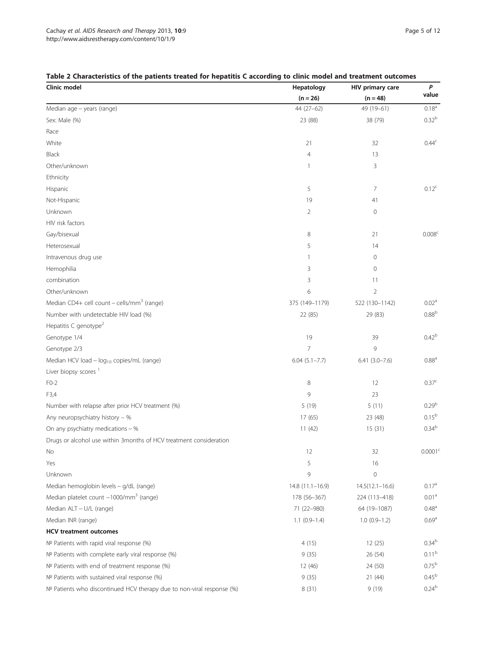| Clinic model                                                           | Hepatology        | HIV primary care    | P                   |
|------------------------------------------------------------------------|-------------------|---------------------|---------------------|
|                                                                        | $(n = 26)$        | $(n = 48)$          | value               |
| Median age - years (range)                                             | $44(27-62)$       | 49 (19-61)          | $0.18^{a}$          |
| Sex: Male (%)                                                          | 23 (88)           | 38 (79)             | 0.32 <sup>b</sup>   |
| Race                                                                   |                   |                     |                     |
| White                                                                  | 21                | 32                  | 0.44 <sup>c</sup>   |
| Black                                                                  | $\overline{4}$    | 13                  |                     |
| Other/unknown                                                          |                   | 3                   |                     |
| Ethnicity                                                              |                   |                     |                     |
| Hispanic                                                               | 5                 | $\overline{7}$      | $0.12^{c}$          |
| Not-Hispanic                                                           | 19                | 41                  |                     |
| Unknown                                                                | 2                 | $\mathbf 0$         |                     |
| HIV risk factors                                                       |                   |                     |                     |
| Gay/bisexual                                                           | 8                 | 21                  | 0.008 <sup>c</sup>  |
| Heterosexual                                                           | 5                 | 14                  |                     |
| Intravenous drug use                                                   | 1                 | $\mathbf 0$         |                     |
| Hemophilia                                                             | 3                 | $\mathbf 0$         |                     |
| combination                                                            | 3                 | 11                  |                     |
| Other/unknown                                                          | 6                 | $\overline{2}$      |                     |
| Median CD4+ cell count - cells/mm <sup>3</sup> (range)                 | 375 (149-1179)    | 522 (130-1142)      | 0.02 <sup>a</sup>   |
| Number with undetectable HIV load (%)                                  | 22 (85)           | 29 (83)             | $0.88^{\rm b}$      |
| Hepatitis C genotype <sup>2</sup>                                      |                   |                     |                     |
| Genotype 1/4                                                           | 19                | 39                  | 0.42 <sup>b</sup>   |
| Genotype 2/3                                                           | 7                 | 9                   |                     |
| Median HCV load - log <sub>10</sub> copies/mL (range)                  | $6.04(5.1 - 7.7)$ | $6.41(3.0 - 7.6)$   | 0.88 <sup>a</sup>   |
| Liver biopsy scores <sup>1</sup>                                       |                   |                     |                     |
| $FO-2$                                                                 | 8                 | 12                  | 0.37 <sup>c</sup>   |
| F3,4                                                                   | 9                 | 23                  |                     |
| Number with relapse after prior HCV treatment (%)                      | 5(19)             | 5(11)               | 0.29 <sup>b</sup>   |
| Any neuropsychiatry history - %                                        | 17 (65)           | 23 (48)             | $0.15^{\rm b}$      |
| On any psychiatry medications $-$ %                                    | 11(42)            | 15(31)              | 0.34 <sup>b</sup>   |
| Drugs or alcohol use within 3months of HCV treatment consideration     |                   |                     |                     |
| No                                                                     | 12                | 32                  | 0.0001 <sup>c</sup> |
| Yes                                                                    | 5                 | 16                  |                     |
| Unknown                                                                | 9                 | $\mathbf 0$         |                     |
| Median hemoglobin levels - g/dL (range)                                | $14.8(11.1-16.9)$ | $14.5(12.1 - 16.6)$ | 0.17 <sup>a</sup>   |
| Median platelet count -1000/mm <sup>3</sup> (range)                    | 178 (56-367)      | 224 (113-418)       | 0.01 <sup>a</sup>   |
| Median ALT - U/L (range)                                               | 71 (22-980)       | 64 (19-1087)        | $0.48^{\circ}$      |
| Median INR (range)                                                     | $1.1 (0.9 - 1.4)$ | $1.0(0.9-1.2)$      | 0.69 <sup>a</sup>   |
| <b>HCV</b> treatment outcomes                                          |                   |                     |                     |
| Nº Patients with rapid viral response (%)                              | 4(15)             | 12(25)              | 0.34 <sup>b</sup>   |
| Nº Patients with complete early viral response (%)                     | 9(35)             | 26 (54)             | 0.11 <sup>b</sup>   |
| Nº Patients with end of treatment response (%)                         | 12 (46)           | 24 (50)             | $0.75^{b}$          |
| Nº Patients with sustained viral response (%)                          | 9(35)             | 21(44)              | $0.45^{b}$          |
| Nº Patients who discontinued HCV therapy due to non-viral response (%) | 8 (31)            | 9(19)               | $0.24^{b}$          |

## <span id="page-4-0"></span>Table 2 Characteristics of the patients treated for hepatitis C according to clinic model and treatment outcomes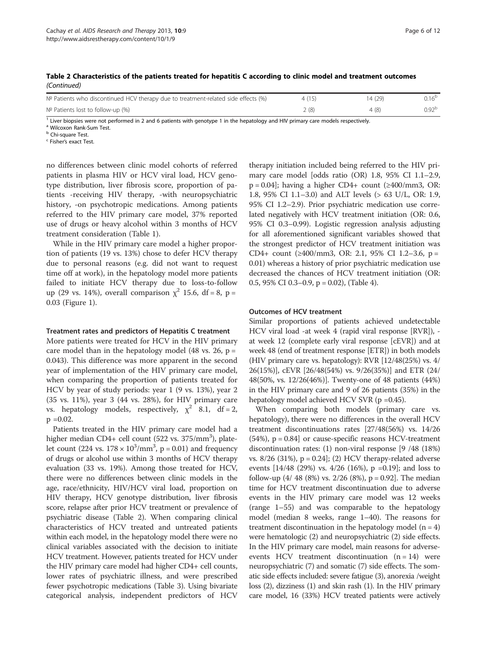| $N2$ Patients who discontinued HCV therapy due to treatment-related side effects (%) | 4(15) | 14 (29) |                     |
|--------------------------------------------------------------------------------------|-------|---------|---------------------|
| $No$ Patients lost to follow-up $(\%)$                                               | 2 (8) |         | $0.92^{\mathrm{b}}$ |

 $<sup>1</sup>$  Liver biopsies were not performed in 2 and 6 patients with genotype 1 in the hepatology and HIV primary care models respectively.</sup>

<sup>a</sup> Wilcoxon Rank-Sum Test.

**b** Chi-square Test.

<sup>c</sup> Fisher's exact Test.

no differences between clinic model cohorts of referred patients in plasma HIV or HCV viral load, HCV genotype distribution, liver fibrosis score, proportion of patients -receiving HIV therapy, -with neuropsychiatric history, -on psychotropic medications. Among patients referred to the HIV primary care model, 37% reported use of drugs or heavy alcohol within 3 months of HCV treatment consideration (Table [1\)](#page-3-0).

While in the HIV primary care model a higher proportion of patients (19 vs. 13%) chose to defer HCV therapy due to personal reasons (e.g. did not want to request time off at work), in the hepatology model more patients failed to initiate HCV therapy due to loss-to-follow up (29 vs. 14%), overall comparison  $\chi^2$  15.6, df = 8, p = 0.03 (Figure [1](#page-2-0)).

#### Treatment rates and predictors of Hepatitis C treatment

More patients were treated for HCV in the HIV primary care model than in the hepatology model (48 vs. 26,  $p =$ 0.043). This difference was more apparent in the second year of implementation of the HIV primary care model, when comparing the proportion of patients treated for HCV by year of study periods: year 1 (9 vs. 13%), year 2 (35 vs. 11%), year 3 (44 vs. 28%), for HIV primary care vs. hepatology models, respectively,  $\chi^2$  8.1, df = 2,  $p = 0.02$ .

Patients treated in the HIV primary care model had a higher median CD4+ cell count (522 vs. 375/mm<sup>3</sup>), platelet count (224 vs.  $178 \times 10^3/\text{mm}^3$ , p = 0.01) and frequency of drugs or alcohol use within 3 months of HCV therapy evaluation (33 vs. 19%). Among those treated for HCV, there were no differences between clinic models in the age, race/ethnicity, HIV/HCV viral load, proportion on HIV therapy, HCV genotype distribution, liver fibrosis score, relapse after prior HCV treatment or prevalence of psychiatric disease (Table [2](#page-4-0)). When comparing clinical characteristics of HCV treated and untreated patients within each model, in the hepatology model there were no clinical variables associated with the decision to initiate HCV treatment. However, patients treated for HCV under the HIV primary care model had higher CD4+ cell counts, lower rates of psychiatric illness, and were prescribed fewer psychotropic medications (Table [3](#page-6-0)). Using bivariate categorical analysis, independent predictors of HCV

therapy initiation included being referred to the HIV primary care model [odds ratio (OR) 1.8, 95% CI 1.1–2.9,  $p = 0.04$ ; having a higher CD4+ count ( $\geq 400$ /mm3, OR: 1.8, 95% CI 1.1–3.0) and ALT levels (> 63 U/L, OR: 1.9, 95% CI 1.2–2.9). Prior psychiatric medication use correlated negatively with HCV treatment initiation (OR: 0.6, 95% CI 0.3–0.99). Logistic regression analysis adjusting for all aforementioned significant variables showed that the strongest predictor of HCV treatment initiation was CD4+ count ( $\geq$ 400/mm3, OR: 2.1, 95% CI 1.2–3.6, p = 0.01) whereas a history of prior psychiatric medication use decreased the chances of HCV treatment initiation (OR: 0.5, 95% CI 0.3–0.9, p = 0.02), (Table [4\)](#page-8-0).

### Outcomes of HCV treatment

Similar proportions of patients achieved undetectable HCV viral load -at week 4 (rapid viral response [RVR]), at week 12 (complete early viral response [cEVR]) and at week 48 (end of treatment response [ETR]) in both models (HIV primary care vs. hepatology): RVR  $[12/48(25%)$  vs.  $4/$ 26(15%)], cEVR [26/48(54%) vs. 9/26(35%)] and ETR (24/ 48(50%, vs. 12/26(46%)]. Twenty-one of 48 patients (44%) in the HIV primary care and 9 of 26 patients (35%) in the hepatology model achieved HCV SVR (p =0.45).

When comparing both models (primary care vs. hepatology), there were no differences in the overall HCV treatment discontinuations rates [27/48(56%) vs. 14/26  $(54%)$ ,  $p = 0.84$ ] or cause-specific reasons HCV-treatment discontinuation rates: (1) non-viral response [9 /48 (18%) vs.  $8/26$  (31%),  $p = 0.24$ ]; (2) HCV therapy-related adverse events [14/48 (29%) vs. 4/26 (16%), p =0.19]; and loss to follow-up  $(4/ 48 (8%)$  vs. 2/26 (8%), p = 0.92]. The median time for HCV treatment discontinuation due to adverse events in the HIV primary care model was 12 weeks (range 1–55) and was comparable to the hepatology model (median 8 weeks, range 1–40). The reasons for treatment discontinuation in the hepatology model  $(n = 4)$ were hematologic (2) and neuropsychiatric (2) side effects. In the HIV primary care model, main reasons for adverseevents HCV treatment discontinuation  $(n = 14)$  were neuropsychiatric (7) and somatic (7) side effects. The somatic side effects included: severe fatigue (3), anorexia /weight loss (2), dizziness (1) and skin rash (1). In the HIV primary care model, 16 (33%) HCV treated patients were actively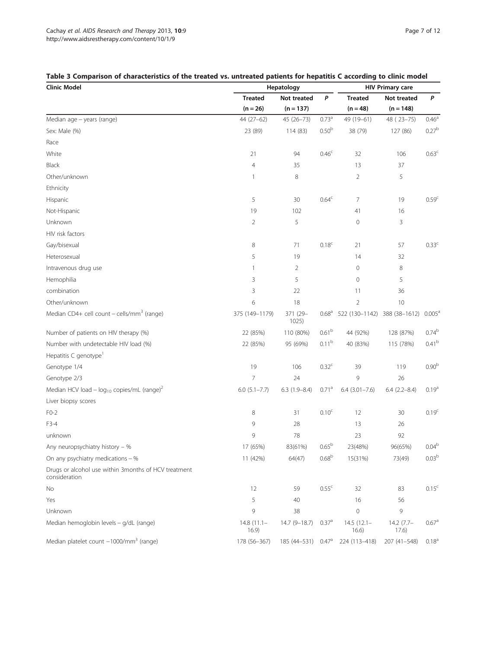| <b>Clinic Model</b>                                                   | Hepatology            |                                |                           | <b>HIV Primary care</b> |                      |                   |
|-----------------------------------------------------------------------|-----------------------|--------------------------------|---------------------------|-------------------------|----------------------|-------------------|
|                                                                       | <b>Treated</b>        | Not treated                    | P                         | <b>Treated</b>          | Not treated          | P                 |
|                                                                       | $(n = 26)$            | $(n = 137)$                    |                           | $(n = 48)$              | $(n = 148)$          |                   |
| Median age - years (range)                                            | 44 (27-62)            | 45 (26-73)                     | $0.73^{a}$                | 49 (19-61)              | 48 (23-75)           | 0.46 <sup>a</sup> |
| Sex: Male (%)                                                         | 23 (89)               | 114 (83)                       | 0.50 <sup>b</sup>         | 38 (79)                 | 127 (86)             | $0.27^{b}$        |
| Race                                                                  |                       |                                |                           |                         |                      |                   |
| White                                                                 | 21                    | 94                             | 0.46 <sup>c</sup>         | 32                      | 106                  | 0.63 <sup>c</sup> |
| <b>Black</b>                                                          | $\overline{4}$        | 35                             |                           | 13                      | 37                   |                   |
| Other/unknown                                                         | 1                     | 8                              |                           | $\overline{2}$          | 5                    |                   |
| Ethnicity                                                             |                       |                                |                           |                         |                      |                   |
| Hispanic                                                              | 5                     | 30                             | 0.64 <sup>c</sup>         | 7                       | 19                   | 0.59 <sup>c</sup> |
| Not-Hispanic                                                          | 19                    | 102                            |                           | 41                      | 16                   |                   |
| Unknown                                                               | 2                     | 5                              |                           | $\mathbf 0$             | 3                    |                   |
| HIV risk factors                                                      |                       |                                |                           |                         |                      |                   |
| Gay/bisexual                                                          | 8                     | 71                             | 0.18 <sup>c</sup>         | 21                      | 57                   | $0.33^c$          |
| Heterosexual                                                          | 5                     | 19                             |                           | 14                      | 32                   |                   |
| Intravenous drug use                                                  | 1                     | $\overline{2}$                 |                           | 0                       | 8                    |                   |
| Hemophilia                                                            | 3                     | 5                              |                           | 0                       | 5                    |                   |
| combination                                                           | 3                     | 22                             |                           | 11                      | 36                   |                   |
| Other/unknown                                                         | 6                     | 18                             |                           | $\overline{2}$          | 10                   |                   |
| Median CD4+ cell count $-$ cells/mm <sup>3</sup> (range)              | 375 (149-1179)        | 371 (29-<br>1025)              | 0.68 <sup>a</sup>         | 522 (130-1142)          | 388 (38-1612)        | $0.005^{\rm a}$   |
| Number of patients on HIV therapy (%)                                 | 22 (85%)              | 110 (80%)                      | 0.61 <sup>b</sup>         | 44 (92%)                | 128 (87%)            | $0.74^{\rm b}$    |
| Number with undetectable HIV load (%)                                 | 22 (85%)              | 95 (69%)                       | 0.11 <sup>b</sup>         | 40 (83%)                | 115 (78%)            | 0.41 <sup>b</sup> |
| Hepatitis C genotype <sup>1</sup>                                     |                       |                                |                           |                         |                      |                   |
| Genotype 1/4                                                          | 19                    | 106                            | 0.32 <sup>c</sup>         | 39                      | 119                  | 0.90 <sup>b</sup> |
| Genotype 2/3                                                          | $\overline{7}$        | 24                             |                           | 9                       | 26                   |                   |
| Median HCV load - $log_{10}$ copies/mL (range) <sup>2</sup>           | $6.0$ $(5.1 - 7.7)$   | $6.3(1.9 - 8.4)$               | 0.71 <sup>a</sup>         | $6.4$ $(3.01 - 7.6)$    | $6.4(2.2 - 8.4)$     | 0.19 <sup>a</sup> |
| Liver biopsy scores                                                   |                       |                                |                           |                         |                      |                   |
| $FO-2$                                                                | 8                     | 31                             | 0.10 <sup>c</sup>         | 12                      | 30                   | 0.19 <sup>c</sup> |
| F3-4                                                                  | 9                     | 28                             |                           | 13                      | 26                   |                   |
| unknown                                                               | 9                     | 78                             |                           | 23                      | 92                   |                   |
| Any neuropsychiatry history - %                                       | 17 (65%)              | 83(61%)                        | $0.65^{\rm b}$            | 23(48%)                 | 96(65%)              | 0.04 <sup>b</sup> |
| On any psychiatry medications $-$ %                                   | 11 (42%)              | 64(47)                         | 0.68 <sup>b</sup>         | 15(31%)                 | 73(49)               | $0.03^{\rm b}$    |
| Drugs or alcohol use within 3months of HCV treatment<br>consideration |                       |                                |                           |                         |                      |                   |
| No                                                                    | 12                    | 59                             | 0.55 <sup>c</sup>         | 32                      | 83                   | $0.15^{\circ}$    |
| Yes                                                                   | 5                     | 40                             |                           | 16                      | 56                   |                   |
| Unknown                                                               | 9                     | 38                             |                           | $\mathbf 0$             | 9                    |                   |
| Median hemoglobin levels - g/dL (range)                               | $14.8(11.1 -$<br>16.9 | $14.7(9-18.7)$                 | $0.37\textsuperscript{a}$ | $14.5(12.1 -$<br>16.6)  | $14.2(7.7-$<br>17.6) | 0.67 <sup>a</sup> |
| Median platelet count -1000/mm <sup>3</sup> (range)                   | 178 (56-367)          | 185 (44-531) 0.47 <sup>a</sup> |                           | 224 (113-418)           | 207 (41-548)         | $0.18^{a}$        |

# <span id="page-6-0"></span>Table 3 Comparison of characteristics of the treated vs. untreated patients for hepatitis C according to clinic model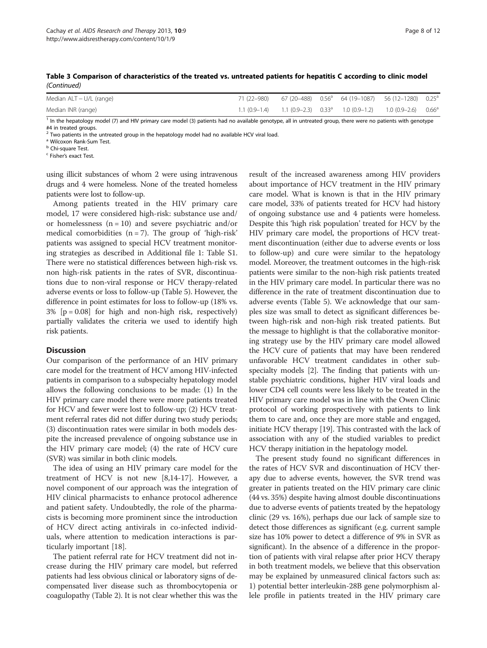| Median ALT - U/L (range) |  | 71 (22–980) 67 (20–488) 0.56 <sup>a</sup> 64 (19–1087) 56 (12–1280) 0.25 <sup>a</sup> |  |
|--------------------------|--|---------------------------------------------------------------------------------------|--|
| Median INR (range)       |  | 1.1 $(0.9-1.4)$ 1.1 $(0.9-2.3)$ $0.33^a$ 1.0 $(0.9-1.2)$ 1.0 $(0.9-2.6)$ $0.66^a$     |  |

Table 3 Comparison of characteristics of the treated vs. untreated patients for hepatitis C according to clinic model (Continued)

<sup>1</sup> In the hepatology model (7) and HIV primary care model (3) patients had no available genotype, all in untreated group, there were no patients with genotype #4 in treated groups.

 $2$  Two patients in the untreated group in the hepatology model had no available HCV viral load.

<sup>a</sup> Wilcoxon Rank-Sum Test.

**b** Chi-square Test.

<sup>c</sup> Fisher's exact Test.

using illicit substances of whom 2 were using intravenous drugs and 4 were homeless. None of the treated homeless patients were lost to follow-up.

Among patients treated in the HIV primary care model, 17 were considered high-risk: substance use and/ or homelessness  $(n = 10)$  and severe psychiatric and/or medical comorbidities  $(n = 7)$ . The group of 'high-risk' patients was assigned to special HCV treatment monitoring strategies as described in Additional file [1](#page-10-0): Table S1. There were no statistical differences between high-risk vs. non high-risk patients in the rates of SVR, discontinuations due to non-viral response or HCV therapy-related adverse events or loss to follow-up (Table [5](#page-9-0)). However, the difference in point estimates for loss to follow-up (18% vs. 3% [p = 0.08] for high and non-high risk, respectively) partially validates the criteria we used to identify high risk patients.

#### **Discussion**

Our comparison of the performance of an HIV primary care model for the treatment of HCV among HIV-infected patients in comparison to a subspecialty hepatology model allows the following conclusions to be made: (1) In the HIV primary care model there were more patients treated for HCV and fewer were lost to follow-up; (2) HCV treatment referral rates did not differ during two study periods; (3) discontinuation rates were similar in both models despite the increased prevalence of ongoing substance use in the HIV primary care model; (4) the rate of HCV cure (SVR) was similar in both clinic models.

The idea of using an HIV primary care model for the treatment of HCV is not new [[8,14-17](#page-11-0)]. However, a novel component of our approach was the integration of HIV clinical pharmacists to enhance protocol adherence and patient safety. Undoubtedly, the role of the pharmacists is becoming more prominent since the introduction of HCV direct acting antivirals in co-infected individuals, where attention to medication interactions is particularly important [[18](#page-11-0)].

The patient referral rate for HCV treatment did not increase during the HIV primary care model, but referred patients had less obvious clinical or laboratory signs of decompensated liver disease such as thrombocytopenia or coagulopathy (Table [2\)](#page-4-0). It is not clear whether this was the

result of the increased awareness among HIV providers about importance of HCV treatment in the HIV primary care model. What is known is that in the HIV primary care model, 33% of patients treated for HCV had history of ongoing substance use and 4 patients were homeless. Despite this 'high risk population' treated for HCV by the HIV primary care model, the proportions of HCV treatment discontinuation (either due to adverse events or loss to follow-up) and cure were similar to the hepatology model. Moreover, the treatment outcomes in the high-risk patients were similar to the non-high risk patients treated in the HIV primary care model. In particular there was no difference in the rate of treatment discontinuation due to adverse events (Table [5](#page-9-0)). We acknowledge that our samples size was small to detect as significant differences between high-risk and non-high risk treated patients. But the message to highlight is that the collaborative monitoring strategy use by the HIV primary care model allowed the HCV cure of patients that may have been rendered unfavorable HCV treatment candidates in other subspecialty models [\[2](#page-10-0)]. The finding that patients with unstable psychiatric conditions, higher HIV viral loads and lower CD4 cell counts were less likely to be treated in the HIV primary care model was in line with the Owen Clinic protocol of working prospectively with patients to link them to care and, once they are more stable and engaged, initiate HCV therapy [\[19\]](#page-11-0). This contrasted with the lack of association with any of the studied variables to predict HCV therapy initiation in the hepatology model.

The present study found no significant differences in the rates of HCV SVR and discontinuation of HCV therapy due to adverse events, however, the SVR trend was greater in patients treated on the HIV primary care clinic (44 vs. 35%) despite having almost double discontinuations due to adverse events of patients treated by the hepatology clinic (29 vs. 16%), perhaps due our lack of sample size to detect those differences as significant (e.g. current sample size has 10% power to detect a difference of 9% in SVR as significant). In the absence of a difference in the proportion of patients with viral relapse after prior HCV therapy in both treatment models, we believe that this observation may be explained by unmeasured clinical factors such as: 1) potential better interleukin-28B gene polymorphism allele profile in patients treated in the HIV primary care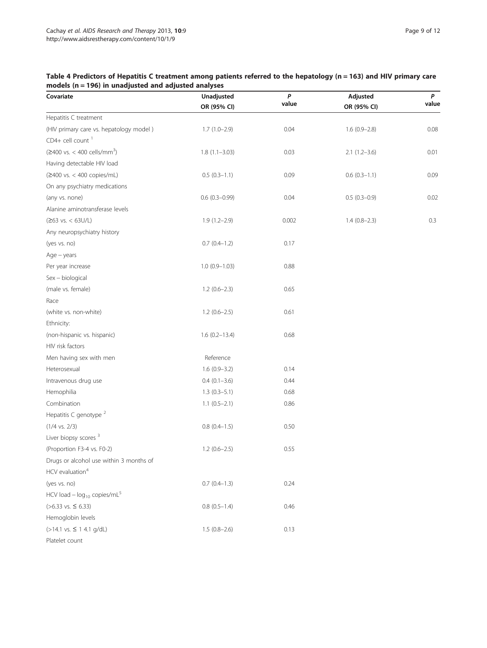## <span id="page-8-0"></span>Table 4 Predictors of Hepatitis C treatment among patients referred to the hepatology (n = 163) and HIV primary care models ( $n = 196$ ) in unadjusted and adjusted analyses

| Covariate                                             | Unadjusted        | $\pmb{P}$ | Adjusted       | P     |
|-------------------------------------------------------|-------------------|-----------|----------------|-------|
|                                                       | OR (95% CI)       | value     | OR (95% CI)    | value |
| Hepatitis C treatment                                 |                   |           |                |       |
| (HIV primary care vs. hepatology model)               | $1.7(1.0-2.9)$    | 0.04      | $1.6(0.9-2.8)$ | 0.08  |
| $CD4+$ cell count <sup>1</sup>                        |                   |           |                |       |
| $(≥400 \text{ vs.} < 400 \text{ cells/mm}^3)$         | $1.8(1.1 - 3.03)$ | 0.03      | $2.1(1.2-3.6)$ | 0.01  |
| Having detectable HIV load                            |                   |           |                |       |
| (≥400 vs. < 400 copies/mL)                            | $0.5(0.3-1.1)$    | 0.09      | $0.6(0.3-1.1)$ | 0.09  |
| On any psychiatry medications                         |                   |           |                |       |
| (any vs. none)                                        | $0.6(0.3-0.99)$   | 0.04      | $0.5(0.3-0.9)$ | 0.02  |
| Alanine aminotransferase levels                       |                   |           |                |       |
| $(263 \text{ vs.} < 63 \text{U/L})$                   | $1.9(1.2 - 2.9)$  | 0.002     | $1.4(0.8-2.3)$ | 0.3   |
| Any neuropsychiatry history                           |                   |           |                |       |
| (yes vs. no)                                          | $0.7$ $(0.4-1.2)$ | 0.17      |                |       |
| $Age - years$                                         |                   |           |                |       |
| Per year increase                                     | $1.0(0.9 - 1.03)$ | 0.88      |                |       |
| Sex - biological                                      |                   |           |                |       |
| (male vs. female)                                     | $1.2(0.6-2.3)$    | 0.65      |                |       |
| Race                                                  |                   |           |                |       |
| (white vs. non-white)                                 | $1.2(0.6-2.5)$    | 0.61      |                |       |
| Ethnicity:                                            |                   |           |                |       |
| (non-hispanic vs. hispanic)                           | $1.6(0.2 - 13.4)$ | 0.68      |                |       |
| HIV risk factors                                      |                   |           |                |       |
| Men having sex with men                               | Reference         |           |                |       |
| Heterosexual                                          | $1.6(0.9 - 3.2)$  | 0.14      |                |       |
| Intravenous drug use                                  | $0.4(0.1-3.6)$    | 0.44      |                |       |
| Hemophilia                                            | $1.3(0.3-5.1)$    | 0.68      |                |       |
| Combination                                           | $1.1 (0.5 - 2.1)$ | 0.86      |                |       |
| Hepatitis C genotype <sup>2</sup>                     |                   |           |                |       |
| $(1/4 \text{ vs. } 2/3)$                              | $0.8(0.4-1.5)$    | 0.50      |                |       |
| Liver biopsy scores <sup>3</sup>                      |                   |           |                |       |
| (Proportion F3-4 vs. F0-2)                            | $1.2(0.6-2.5)$    | 0.55      |                |       |
| Drugs or alcohol use within 3 months of               |                   |           |                |       |
| HCV evaluation <sup>4</sup>                           |                   |           |                |       |
| (yes vs. no)                                          | $0.7(0.4-1.3)$    | 0.24      |                |       |
| HCV load $-$ log <sub>10</sub> copies/mL <sup>5</sup> |                   |           |                |       |
| $(>6.33$ vs. $\leq 6.33$ )                            | $0.8$ $(0.5-1.4)$ | 0.46      |                |       |
| Hemoglobin levels                                     |                   |           |                |       |
| (>14.1 vs. ≤ 1 4.1 g/dL)                              | $1.5(0.8-2.6)$    | 0.13      |                |       |
| Platelet count                                        |                   |           |                |       |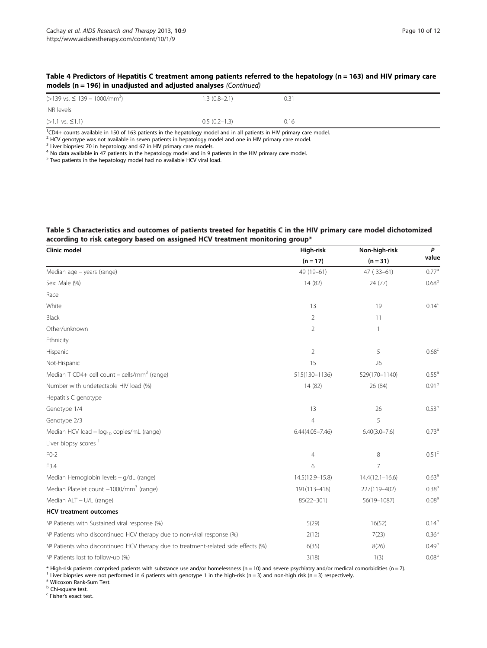#### <span id="page-9-0"></span>Table 4 Predictors of Hepatitis C treatment among patients referred to the hepatology (n = 163) and HIV primary care models (n = 196) in unadjusted and adjusted analyses (Continued)

| $(>139 \text{ vs. } \leq 139 - 1000 \text{/mm}^3)$ | $1.3(0.8-2.1)$ | 0.31 |
|----------------------------------------------------|----------------|------|
| <b>INR</b> levels                                  |                |      |
| $(>1.1$ vs. $\leq 1.1)$                            | $0.5(0.2-1.3)$ | 0.16 |

1 CD4+ counts available in 150 of 163 patients in the hepatology model and in all patients in HIV primary care model.

<sup>2</sup> HCV genotype was not available in seven patients in hepatology model and one in HIV primary care model.

<sup>3</sup> Liver biopsies: 70 in hepatology and 67 in HIV primary care models.

<sup>4</sup> No data available in 47 patients in the hepatology model and in 9 patients in the HIV primary care model.

<sup>5</sup> Two patients in the hepatology model had no available HCV viral load.

#### Table 5 Characteristics and outcomes of patients treated for hepatitis C in the HIV primary care model dichotomized according to risk category based on assigned HCV treatment monitoring group\*

| Clinic model                                                                       | High-risk           | Non-high-risk       | P                 |
|------------------------------------------------------------------------------------|---------------------|---------------------|-------------------|
|                                                                                    | $(n = 17)$          | $(n = 31)$          | value             |
| Median age - years (range)                                                         | 49 (19-61)          | 47 (33-61)          | $0.77^{a}$        |
| Sex: Male (%)                                                                      | 14 (82)             | 24 (77)             | 0.68 <sup>b</sup> |
| Race                                                                               |                     |                     |                   |
| White                                                                              | 13                  | 19                  | $0.14^{c}$        |
| Black                                                                              | 2                   | 11                  |                   |
| Other/unknown                                                                      | 2                   | 1                   |                   |
| Ethnicity                                                                          |                     |                     |                   |
| Hispanic                                                                           | $\overline{2}$      | 5                   | 0.68 <sup>c</sup> |
| Not-Hispanic                                                                       | 15                  | 26                  |                   |
| Median T CD4+ cell count - cells/mm <sup>3</sup> (range)                           | 515(130-1136)       | 529(170-1140)       | 0.55 <sup>a</sup> |
| Number with undetectable HIV load (%)                                              | 14 (82)             | 26 (84)             | 0.91 <sup>b</sup> |
| Hepatitis C genotype                                                               |                     |                     |                   |
| Genotype 1/4                                                                       | 13                  | 26                  | 0.53 <sup>b</sup> |
| Genotype 2/3                                                                       | $\overline{4}$      | 5                   |                   |
| Median HCV load - log <sub>10</sub> copies/mL (range)                              | $6.44(4.05 - 7.46)$ | $6.40(3.0 - 7.6)$   | 0.73 <sup>a</sup> |
| Liver biopsy scores <sup>1</sup>                                                   |                     |                     |                   |
| $FO-2$                                                                             | 4                   | 8                   | 0.51 <sup>c</sup> |
| F3,4                                                                               | 6                   | 7                   |                   |
| Median Hemoglobin levels - g/dL (range)                                            | 14.5(12.9-15.8)     | $14.4(12.1 - 16.6)$ | 0.63 <sup>a</sup> |
| Median Platelet count -1000/mm <sup>3</sup> (range)                                | 191(113-418)        | 227(119-402)        | 0.38 <sup>a</sup> |
| Median ALT - U/L (range)                                                           | 85(22-301)          | 56(19-1087)         | 0.08 <sup>a</sup> |
| <b>HCV treatment outcomes</b>                                                      |                     |                     |                   |
| Nº Patients with Sustained viral response (%)                                      | 5(29)               | 16(52)              | $0.14^b$          |
| Nº Patients who discontinued HCV therapy due to non-viral response (%)             | 2(12)               | 7(23)               | 0.36 <sup>b</sup> |
| Nº Patients who discontinued HCV therapy due to treatment-related side effects (%) | 6(35)               | 8(26)               | 0.49 <sup>b</sup> |
| Nº Patients lost to follow-up (%)                                                  | 3(18)               | 1(3)                | 0.08 <sup>b</sup> |

\* High-risk patients comprised patients with substance use and/or homelessness (n = 10) and severe psychiatry and/or medical comorbidities (n = 7).

<sup>1</sup> Liver biopsies were not performed in 6 patients with genotype 1 in the high-risk (n = 3) and non-high risk (n = 3) respectively.

<sup>a</sup> Wilcoxon Rank-Sum Test.

**b** Chi-square test.

<sup>c</sup> Fisher's exact test.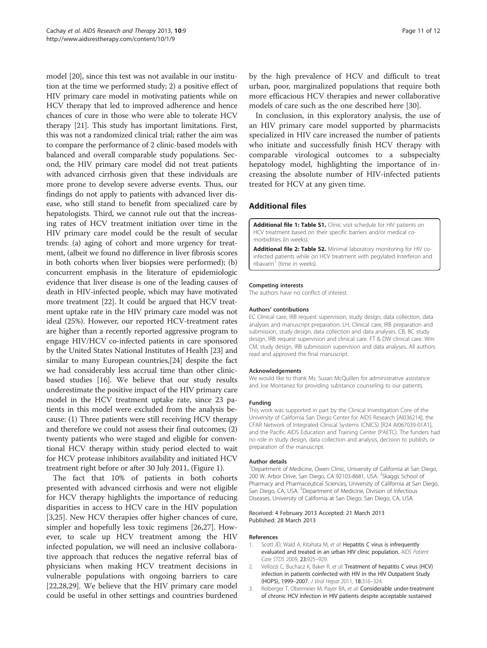<span id="page-10-0"></span>model [[20](#page-11-0)], since this test was not available in our institution at the time we performed study; 2) a positive effect of HIV primary care model in motivating patients while on HCV therapy that led to improved adherence and hence chances of cure in those who were able to tolerate HCV therapy [[21](#page-11-0)]. This study has important limitations. First, this was not a randomized clinical trial; rather the aim was to compare the performance of 2 clinic-based models with balanced and overall comparable study populations. Second, the HIV primary care model did not treat patients with advanced cirrhosis given that these individuals are more prone to develop severe adverse events. Thus, our findings do not apply to patients with advanced liver disease, who still stand to benefit from specialized care by hepatologists. Third, we cannot rule out that the increasing rates of HCV treatment initiation over time in the HIV primary care model could be the result of secular trends: (a) aging of cohort and more urgency for treatment, (albeit we found no difference in liver fibrosis scores in both cohorts when liver biopsies were performed); (b) concurrent emphasis in the literature of epidemiologic evidence that liver disease is one of the leading causes of death in HIV-infected people, which may have motivated more treatment [\[22\]](#page-11-0). It could be argued that HCV treatment uptake rate in the HIV primary care model was not ideal (25%). However, our reported HCV-treatment rates are higher than a recently reported aggressive program to engage HIV/HCV co-infected patients in care sponsored by the United States National Institutes of Health [\[23\]](#page-11-0) and similar to many European countries,[[24](#page-11-0)] despite the fact we had considerably less accrual time than other clinicbased studies [[16](#page-11-0)]. We believe that our study results underestimate the positive impact of the HIV primary care model in the HCV treatment uptake rate, since 23 patients in this model were excluded from the analysis because: (1) Three patients were still receiving HCV therapy and therefore we could not assess their final outcomes; (2) twenty patients who were staged and eligible for conventional HCV therapy within study period elected to wait for HCV protease inhibitors availability and initiated HCV treatment right before or after 30 July 2011, (Figure [1](#page-2-0)).

The fact that 10% of patients in both cohorts presented with advanced cirrhosis and were not eligible for HCV therapy highlights the importance of reducing disparities in access to HCV care in the HIV population [3,[25\]](#page-11-0). New HCV therapies offer higher chances of cure, simpler and hopefully less toxic regimens [[26,27](#page-11-0)]. However, to scale up HCV treatment among the HIV infected population, we will need an inclusive collaborative approach that reduces the negative referral bias of physicians when making HCV treatment decisions in vulnerable populations with ongoing barriers to care [[22,28,29\]](#page-11-0). We believe that the HIV primary care model could be useful in other settings and countries burdened by the high prevalence of HCV and difficult to treat urban, poor, marginalized populations that require both more efficacious HCV therapies and newer collaborative models of care such as the one described here [[30\]](#page-11-0).

In conclusion, in this exploratory analysis, the use of an HIV primary care model supported by pharmacists specialized in HIV care increased the number of patients who initiate and successfully finish HCV therapy with comparable virological outcomes to a subspecialty hepatology model, highlighting the importance of increasing the absolute number of HIV-infected patients treated for HCV at any given time.

## Additional files

[Additional file 1: Table S1.](http://www.biomedcentral.com/content/supplementary/1742-6405-10-9-S1.docx) Clinic visit schedule for HIV patients on HCV treatment based on their specific barriers and/or medical comorbidities (in weeks).

[Additional file 2: Table S2.](http://www.biomedcentral.com/content/supplementary/1742-6405-10-9-S2.docx) Minimal laboratory monitoring for HIV coinfected patients while on HCV treatment with pegylated Interferon and  $ribavarin<sup>1</sup>$  (time in weeks).

#### Competing interests

The authors have no conflict of interest.

#### Authors' contributions

EC Clinical care, IRB request supervision, study design, data collection, data analyses and manuscript preparation. LH, Clinical care, IRB preparation and submission, study design, data collection and data analyses. CB, BC study design, IRB request supervision and clinical care. FT & DW clinical care. Wm CM, study design, IRB submission supervision and data analyses. All authors read and approved the final manuscript.

#### Acknowledgements

We would like to thank Ms. Susan McOuillen for administrative assistance and Joe Montanez for providing substance counseling to our patients.

#### Funding

This work was supported in part by the Clinical Investigation Core of the University of California San Diego Center for AIDS Research [AI036214], the CFAR Network of Integrated Clinical Systems (CNICS) [R24 AI067039-01A1], and the Pacific AIDS Education and Training Center (PAETC). The funders had no role in study design, data collection and analysis, decision to publish, or preparation of the manuscript.

#### Author details

<sup>1</sup>Department of Medicine, Owen Clinic, University of California at San Diego, 200 W. Arbor Drive, San Diego, CA 92103-8681, USA. <sup>2</sup>Skaggs School of Pharmacy and Pharmaceutical Sciences, University of California at San Diego, San Diego, CA, USA. <sup>3</sup>Department of Medicine, Division of Infectious Diseases, University of California at San Diego, San Diego, CA, USA.

#### Received: 4 February 2013 Accepted: 21 March 2013 Published: 28 March 2013

#### References

- 1. Scott JD, Wald A, Kitahata M, et al: Hepatitis C virus is infrequently evaluated and treated in an urban HIV clinic population. AIDS Patient Care STDS 2009, 23:925–929.
- 2. Vellozzi C, Buchacz K, Baker R, et al: Treatment of hepatitis C virus (HCV) infection in patients coinfected with HIV in the HIV Outpatient Study (HOPS), 1999–2007. J Viral Hepat 2011, 18:316–324.
- 3. Reiberger T, Obermeier M, Payer BA, et al: Considerable under-treatment of chronic HCV infection in HIV patients despite acceptable sustained